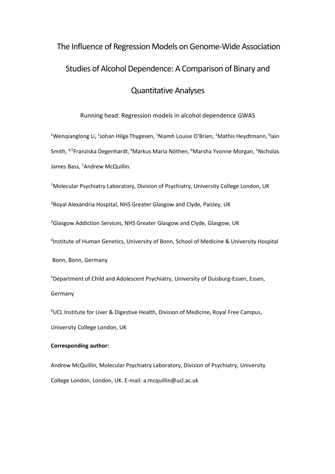# The Influence of Regression Models on Genome-Wide Association Studies of Alcohol Dependence: A Comparison of Binary and Quantitative Analyses

#### Running head: Regression models in alcohol dependence GWAS

<sup>1</sup>Wenqianglong Li, <sup>1</sup>Johan Hilge Thygesen, <sup>1</sup>Niamh Louise O'Brien, <sup>2</sup>Mathis Heydtmann, <sup>3</sup>lain Smith, <sup>4,5</sup>Franziska Degenhardt, <sup>4</sup>Markus Maria Nöthen, <sup>6</sup>Marsha Yvonne Morgan, <sup>1</sup>Nicholas James Bass, <sup>1</sup>Andrew McQuillin.

<sup>1</sup>Molecular Psychiatry Laboratory, Division of Psychiatry, University College London, UK

<sup>2</sup>Royal Alexandria Hospital, NHS Greater Glasgow and Clyde, Paisley, UK

<sup>3</sup>Glasgow Addiction Services, NHS Greater Glasgow and Clyde, Glasgow, UK

4 Institute of Human Genetics, University of Bonn, School of Medicine & University Hospital

Bonn, Bonn, Germany

5 Department of Child and Adolescent Psychiatry, University of Duisburg-Essen, Essen, Germany

<sup>6</sup>UCL Institute for Liver & Digestive Health, Division of Medicine, Royal Free Campus, University College London, UK

#### **Corresponding author:**

Andrew McQuillin, Molecular Psychiatry Laboratory, Division of Psychiatry, University College London, London, UK. E-mail: a.mcquillin@ucl.ac.uk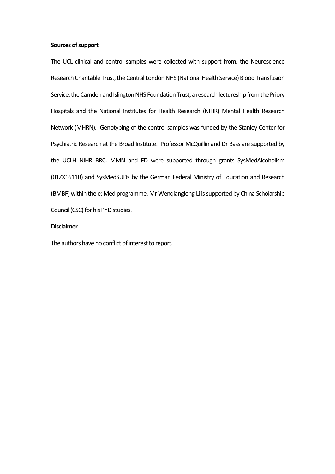#### **Sources of support**

The UCL clinical and control samples were collected with support from, the Neuroscience Research Charitable Trust, the Central London NHS (National Health Service) Blood Transfusion Service, the Camden and Islington NHS Foundation Trust, a research lectureship from the Priory Hospitals and the National Institutes for Health Research (NIHR) Mental Health Research Network (MHRN). Genotyping of the control samples was funded by the Stanley Center for Psychiatric Research at the Broad Institute. Professor McQuillin and Dr Bass are supported by the UCLH NIHR BRC. MMN and FD were supported through grants SysMedAlcoholism (01ZX1611B) and SysMedSUDs by the German Federal Ministry of Education and Research (BMBF) within the e: Med programme. Mr Wenqianglong Li is supported by China Scholarship Council (CSC) for his PhD studies.

#### **Disclaimer**

The authors have no conflict of interest to report.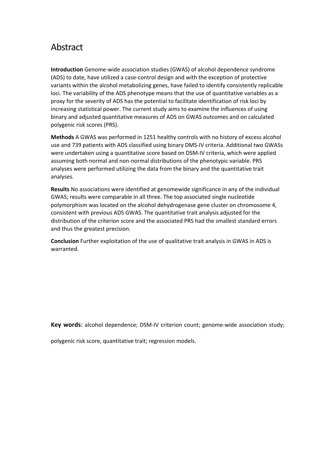## Abstract

**Introduction** Genome-wide association studies (GWAS) of alcohol dependence syndrome (ADS) to date, have utilized a case-control design and with the exception of protective variants within the alcohol metabolizing genes, have failed to identify consistently replicable loci. The variability of the ADS phenotype means that the use of quantitative variables as a proxy for the severity of ADS has the potential to facilitate identification of risk loci by increasing statistical power. The current study aims to examine the influences of using binary and adjusted quantitative measures of ADS on GWAS outcomes and on calculated polygenic risk scores (PRS).

**Methods** A GWAS was performed in 1251 healthy controls with no history of excess alcohol use and 739 patients with ADS classified using binary DMS-IV criteria. Additional two GWASs were undertaken using a quantitative score based on DSM-IV criteria, which were applied assuming both normal and non-normal distributions of the phenotypic variable. PRS analyses were performed utilizing the data from the binary and the quantitative trait analyses.

**Results** No associations were identified at genomewide significance in any of the individual GWAS; results were comparable in all three. The top associated single nucleotide polymorphism was located on the alcohol dehydrogenase gene cluster on chromosome 4, consistent with previous ADS GWAS. The quantitative trait analysis adjusted for the distribution of the criterion score and the associated PRS had the smallest standard errors and thus the greatest precision.

**Conclusion** Further exploitation of the use of qualitative trait analysis in GWAS in ADS is warranted.

**Key words**: alcohol dependence; DSM-IV criterion count; genome-wide association study;

polygenic risk score, quantitative trait; regression models.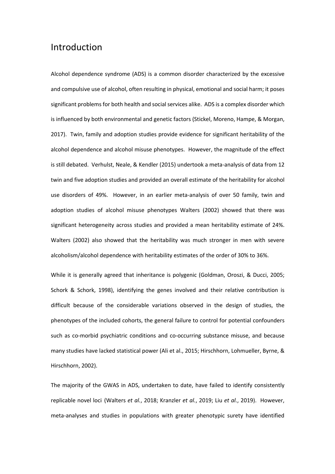## Introduction

Alcohol dependence syndrome (ADS) is a common disorder characterized by the excessive and compulsive use of alcohol, often resulting in physical, emotional and social harm; it poses significant problems for both health and social services alike. ADS is a complex disorder which is influenced by both environmental and genetic factors (Stickel, Moreno, Hampe, & Morgan, 2017). Twin, family and adoption studies provide evidence for significant heritability of the alcohol dependence and alcohol misuse phenotypes. However, the magnitude of the effect is still debated. Verhulst, Neale, & Kendler (2015) undertook a meta-analysis of data from 12 twin and five adoption studies and provided an overall estimate of the heritability for alcohol use disorders of 49%. However, in an earlier meta-analysis of over 50 family, twin and adoption studies of alcohol misuse phenotypes Walters (2002) showed that there was significant heterogeneity across studies and provided a mean heritability estimate of 24%. Walters (2002) also showed that the heritability was much stronger in men with severe alcoholism/alcohol dependence with heritability estimates of the order of 30% to 36%.

While it is generally agreed that inheritance is polygenic (Goldman, Oroszi, & Ducci, 2005; Schork & Schork, 1998), identifying the genes involved and their relative contribution is difficult because of the considerable variations observed in the design of studies, the phenotypes of the included cohorts, the general failure to control for potential confounders such as co-morbid psychiatric conditions and co-occurring substance misuse, and because many studies have lacked statistical power (Ali et al., 2015; Hirschhorn, Lohmueller, Byrne, & Hirschhorn, 2002).

The majority of the GWAS in ADS, undertaken to date, have failed to identify consistently replicable novel loci (Walters *et al.*, 2018; Kranzler *et al.*, 2019; Liu *et al.*, 2019). However, meta-analyses and studies in populations with greater phenotypic surety have identified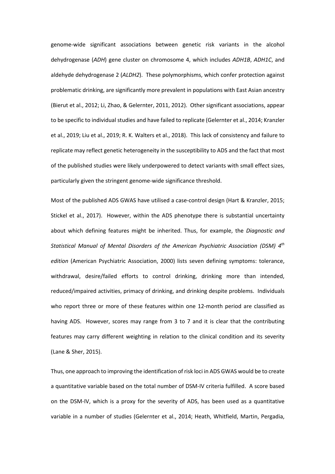genome-wide significant associations between genetic risk variants in the alcohol dehydrogenase (*ADH*) gene cluster on chromosome 4, which includes *ADH1B*, *ADH1C*, and aldehyde dehydrogenase 2 (*ALDH2*). These polymorphisms, which confer protection against problematic drinking, are significantly more prevalent in populations with East Asian ancestry (Bierut et al., 2012; Li, Zhao, & Gelernter, 2011, 2012). Other significant associations, appear to be specific to individual studies and have failed to replicate (Gelernter et al., 2014; Kranzler et al., 2019; Liu et al., 2019; R. K. Walters et al., 2018). This lack of consistency and failure to replicate may reflect genetic heterogeneity in the susceptibility to ADS and the fact that most of the published studies were likely underpowered to detect variants with small effect sizes, particularly given the stringent genome-wide significance threshold.

Most of the published ADS GWAS have utilised a case-control design (Hart & Kranzler, 2015; Stickel et al., 2017). However, within the ADS phenotype there is substantial uncertainty about which defining features might be inherited. Thus, for example, the *Diagnostic and Statistical Manual of Mental Disorders of the American Psychiatric Association (DSM) 4th edition* (American Psychiatric Association, 2000) lists seven defining symptoms: tolerance, withdrawal, desire/failed efforts to control drinking, drinking more than intended, reduced/impaired activities, primacy of drinking, and drinking despite problems. Individuals who report three or more of these features within one 12-month period are classified as having ADS. However, scores may range from 3 to 7 and it is clear that the contributing features may carry different weighting in relation to the clinical condition and its severity (Lane & Sher, 2015).

Thus, one approach to improving the identification of risk loci in ADS GWAS would be to create a quantitative variable based on the total number of DSM-IV criteria fulfilled. A score based on the DSM-IV, which is a proxy for the severity of ADS, has been used as a quantitative variable in a number of studies (Gelernter et al., 2014; Heath, Whitfield, Martin, Pergadia,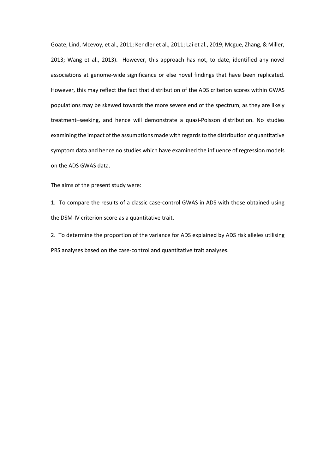Goate, Lind, Mcevoy, et al., 2011; Kendler et al., 2011; Lai et al., 2019; Mcgue, Zhang, & Miller, 2013; Wang et al., 2013). However, this approach has not, to date, identified any novel associations at genome-wide significance or else novel findings that have been replicated. However, this may reflect the fact that distribution of the ADS criterion scores within GWAS populations may be skewed towards the more severe end of the spectrum, as they are likely treatment–seeking, and hence will demonstrate a quasi-Poisson distribution. No studies examining the impact of the assumptions made with regards to the distribution of quantitative symptom data and hence no studies which have examined the influence of regression models on the ADS GWAS data.

The aims of the present study were:

1. To compare the results of a classic case-control GWAS in ADS with those obtained using the DSM-IV criterion score as a quantitative trait.

2. To determine the proportion of the variance for ADS explained by ADS risk alleles utilising PRS analyses based on the case-control and quantitative trait analyses.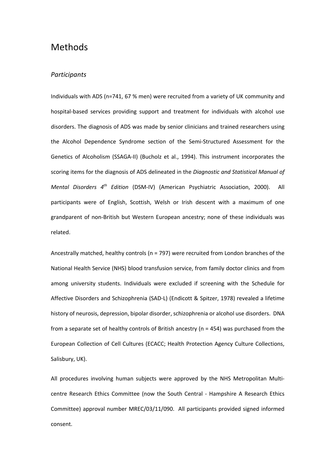## Methods

#### *Participants*

Individuals with ADS (n=741, 67 % men) were recruited from a variety of UK community and hospital-based services providing support and treatment for individuals with alcohol use disorders. The diagnosis of ADS was made by senior clinicians and trained researchers using the Alcohol Dependence Syndrome section of the Semi-Structured Assessment for the Genetics of Alcoholism (SSAGA-II) (Bucholz et al., 1994). This instrument incorporates the scoring items for the diagnosis of ADS delineated in the *Diagnostic and Statistical Manual of Mental Disorders 4th Edition* (DSM-IV) (American Psychiatric Association, 2000). All participants were of English, Scottish, Welsh or Irish descent with a maximum of one grandparent of non-British but Western European ancestry; none of these individuals was related.

Ancestrally matched, healthy controls (n = 797) were recruited from London branches of the National Health Service (NHS) blood transfusion service, from family doctor clinics and from among university students. Individuals were excluded if screening with the Schedule for Affective Disorders and Schizophrenia (SAD-L) (Endicott & Spitzer, 1978) revealed a lifetime history of neurosis, depression, bipolar disorder, schizophrenia or alcohol use disorders. DNA from a separate set of healthy controls of British ancestry (n = 454) was purchased from the European Collection of Cell Cultures (ECACC; Health Protection Agency Culture Collections, Salisbury, UK).

All procedures involving human subjects were approved by the NHS Metropolitan Multicentre Research Ethics Committee (now the South Central - Hampshire A Research Ethics Committee) approval number MREC/03/11/090. All participants provided signed informed consent.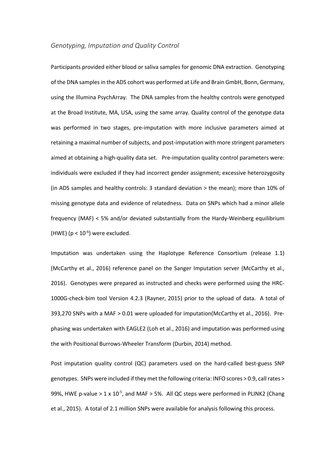#### *Genotyping, Imputation and Quality Control*

Participants provided either blood or saliva samples for genomic DNA extraction. Genotyping of the DNA samples in the ADS cohort was performed at Life and Brain GmbH, Bonn, Germany, using the Illumina PsychArray. The DNA samples from the healthy controls were genotyped at the Broad Institute, MA, USA, using the same array. Quality control of the genotype data was performed in two stages, pre-imputation with more inclusive parameters aimed at retaining a maximal number of subjects, and post-imputation with more stringent parameters aimed at obtaining a high-quality data set. Pre-imputation quality control parameters were: individuals were excluded if they had incorrect gender assignment; excessive heterozygosity (in ADS samples and healthy controls: 3 standard deviation > the mean); more than 10% of missing genotype data and evidence of relatedness. Data on SNPs which had a minor allele frequency (MAF) < 5% and/or deviated substantially from the Hardy-Weinberg equilibrium (HWE) ( $p < 10^{-6}$ ) were excluded.

Imputation was undertaken using the Haplotype Reference Consortium (release 1.1) (McCarthy et al., 2016) reference panel on the Sanger Imputation server (McCarthy et al., 2016). Genotypes were prepared as instructed and checks were performed using the HRC-1000G-check-bim tool Version 4.2.3 (Rayner, 2015) prior to the upload of data. A total of 393,270 SNPs with a MAF > 0.01 were uploaded for imputation(McCarthy et al., 2016). Prephasing was undertaken with EAGLE2 (Loh et al., 2016) and imputation was performed using the with Positional Burrows-Wheeler Transform (Durbin, 2014) method.

Post imputation quality control (QC) parameters used on the hard-called best-guess SNP genotypes. SNPs were included if they met the following criteria: INFO scores > 0.9, call rates > 99%, HWE p-value >  $1 \times 10^{-5}$ , and MAF > 5%. All QC steps were performed in PLINK2 (Chang et al., 2015). A total of 2.1 million SNPs were available for analysis following this process.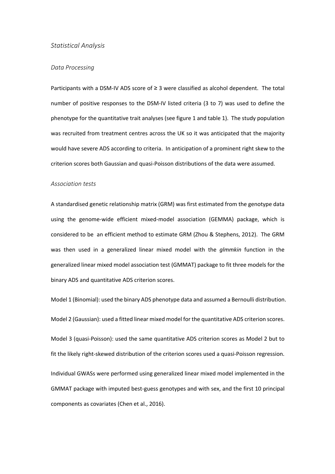#### *Statistical Analysis*

#### *Data Processing*

Participants with a DSM-IV ADS score of  $\geq 3$  were classified as alcohol dependent. The total number of positive responses to the DSM-IV listed criteria (3 to 7) was used to define the phenotype for the quantitative trait analyses (see figure 1 and table 1). The study population was recruited from treatment centres across the UK so it was anticipated that the majority would have severe ADS according to criteria. In anticipation of a prominent right skew to the criterion scores both Gaussian and quasi-Poisson distributions of the data were assumed.

#### *Association tests*

A standardised genetic relationship matrix (GRM) was first estimated from the genotype data using the genome-wide efficient mixed-model association (GEMMA) package, which is considered to be an efficient method to estimate GRM (Zhou & Stephens, 2012). The GRM was then used in a generalized linear mixed model with the *glmmkin* function in the generalized linear mixed model association test (GMMAT) package to fit three models for the binary ADS and quantitative ADS criterion scores.

Model 1 (Binomial): used the binary ADS phenotype data and assumed a Bernoulli distribution. Model 2 (Gaussian): used a fitted linear mixed model for the quantitative ADS criterion scores. Model 3 (quasi-Poisson): used the same quantitative ADS criterion scores as Model 2 but to fit the likely right-skewed distribution of the criterion scores used a quasi-Poisson regression. Individual GWASs were performed using generalized linear mixed model implemented in the GMMAT package with imputed best-guess genotypes and with sex, and the first 10 principal components as covariates (Chen et al., 2016).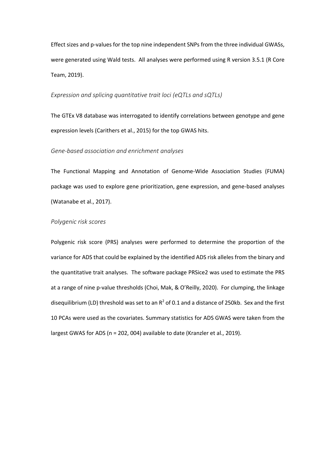Effect sizes and p-values for the top nine independent SNPs from the three individual GWASs, were generated using Wald tests. All analyses were performed using R version 3.5.1 (R Core Team, 2019).

#### *Expression and splicing quantitative trait loci (eQTLs and sQTLs)*

The GTEx V8 database was interrogated to identify correlations between genotype and gene expression levels (Carithers et al., 2015) for the top GWAS hits.

#### *Gene-based association and enrichment analyses*

The Functional Mapping and Annotation of Genome-Wide Association Studies (FUMA) package was used to explore gene prioritization, gene expression, and gene-based analyses (Watanabe et al., 2017).

#### *Polygenic risk scores*

Polygenic risk score (PRS) analyses were performed to determine the proportion of the variance for ADS that could be explained by the identified ADS risk alleles from the binary and the quantitative trait analyses. The software package PRSice2 was used to estimate the PRS at a range of nine p-value thresholds (Choi, Mak, & O'Reilly, 2020). For clumping, the linkage disequilibrium (LD) threshold was set to an  $R^2$  of 0.1 and a distance of 250kb. Sex and the first 10 PCAs were used as the covariates. Summary statistics for ADS GWAS were taken from the largest GWAS for ADS (n = 202, 004) available to date (Kranzler et al., 2019).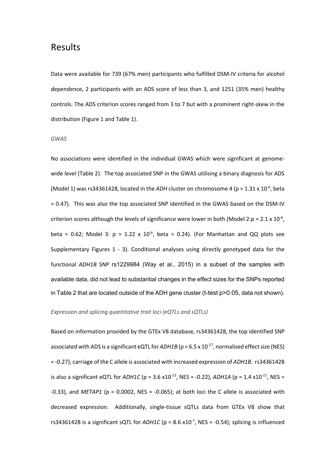## Results

Data were available for 739 (67% men) participants who fulfilled DSM-IV criteria for alcohol dependence, 2 participants with an ADS score of less than 3, and 1251 (35% men) healthy controls. The ADS criterion scores ranged from 3 to 7 but with a prominent right-skew in the distribution (Figure 1 and Table 1).

#### *GWAS*

No associations were identified in the individual GWAS which were significant at genomewide level (Table 2). The top associated SNP in the GWAS utilising a binary diagnosis for ADS (Model 1) was rs34361428, located in the *ADH* cluster on chromosome 4 ( $p = 1.31 \times 10^{-6}$ , beta = 0.47). This was also the top associated SNP identified in the GWAS based on the DSM-IV criterion scores although the levels of significance were lower in both (Model 2:p =  $2.1 \times 10^{-6}$ , beta = 0.62; Model 3:  $p = 1.22 \times 10^{-6}$ , beta = 0.24). (For Manhattan and QQ plots see Supplementary Figures 1 - 3). Conditional analyses using directly genotyped data for the functional *ADH1B* SNP rs1229984 (Way et al., 2015) in a subset of the samples with available data, did not lead to substantial changes in the effect sizes for the SNPs reported in Table 2 that are located outside of the ADH gene cluster (t-test p>0.05, data not shown).

#### *Expression and splicing quantitative trait loci (eQTLs and sQTLs)*

Based on information provided by the GTEx V8 database, rs34361428, the top identified SNP associated with ADS is a significant eQTL for  $ADH1B$  ( $p = 6.5 \times 10^{-17}$ , normalised effect size (NES) = -0.27); carriage of the C allele is associated with increased expression of *ADH1B*. rs34361428 is also a significant eQTL for *ADH1C* (p = 3.6 x10<sup>-12</sup>, NES = -0.22), *ADH1A* (p = 1.4 x10<sup>-11</sup>, NES =  $-0.33$ ), and *METAP1* ( $p = 0.0002$ , NES =  $-0.065$ ); at both loci the C allele is associated with decreased expression. Additionally, single-tissue sQTLs data from GTEx V8 show that rs34361428 is a significant sQTL for  $ADH1C$  (p = 8.6 x10<sup>-7</sup>, NES = -0.54); splicing is influenced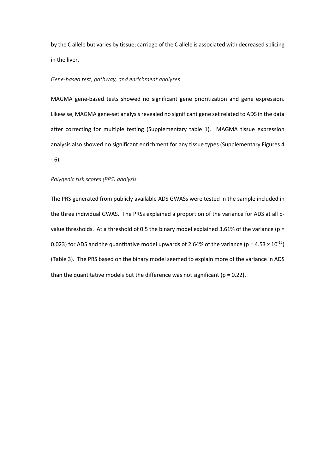by the C allele but varies by tissue; carriage of the C allele is associated with decreased splicing in the liver.

#### *Gene-based test, pathway, and enrichment analyses*

MAGMA gene-based tests showed no significant gene prioritization and gene expression. Likewise, MAGMA gene-set analysis revealed no significant gene set related to ADS in the data after correcting for multiple testing (Supplementary table 1). MAGMA tissue expression analysis also showed no significant enrichment for any tissue types (Supplementary Figures 4 - 6).

#### *Polygenic risk scores (PRS) analysis*

The PRS generated from publicly available ADS GWASs were tested in the sample included in the three individual GWAS. The PRSs explained a proportion of the variance for ADS at all pvalue thresholds. At a threshold of 0.5 the binary model explained 3.61% of the variance (p = 0.023) for ADS and the quantitative model upwards of 2.64% of the variance ( $p = 4.53 \times 10^{-15}$ ) (Table 3). The PRS based on the binary model seemed to explain more of the variance in ADS than the quantitative models but the difference was not significant ( $p = 0.22$ ).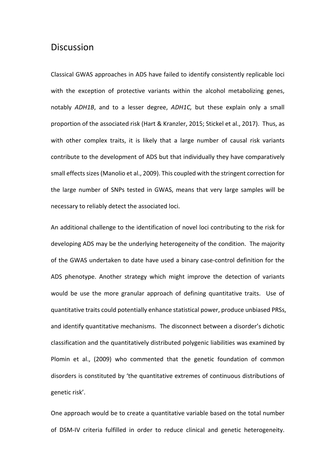## Discussion

Classical GWAS approaches in ADS have failed to identify consistently replicable loci with the exception of protective variants within the alcohol metabolizing genes, notably *ADH1B*, and to a lesser degree, *ADH1C,* but these explain only a small proportion of the associated risk (Hart & Kranzler, 2015; Stickel et al., 2017). Thus, as with other complex traits, it is likely that a large number of causal risk variants contribute to the development of ADS but that individually they have comparatively small effects sizes (Manolio et al., 2009). This coupled with the stringent correction for the large number of SNPs tested in GWAS, means that very large samples will be necessary to reliably detect the associated loci.

An additional challenge to the identification of novel loci contributing to the risk for developing ADS may be the underlying heterogeneity of the condition. The majority of the GWAS undertaken to date have used a binary case-control definition for the ADS phenotype. Another strategy which might improve the detection of variants would be use the more granular approach of defining quantitative traits. Use of quantitative traits could potentially enhance statistical power, produce unbiased PRSs, and identify quantitative mechanisms. The disconnect between a disorder's dichotic classification and the quantitatively distributed polygenic liabilities was examined by Plomin et al., (2009) who commented that the genetic foundation of common disorders is constituted by 'the quantitative extremes of continuous distributions of genetic risk'.

One approach would be to create a quantitative variable based on the total number of DSM-IV criteria fulfilled in order to reduce clinical and genetic heterogeneity.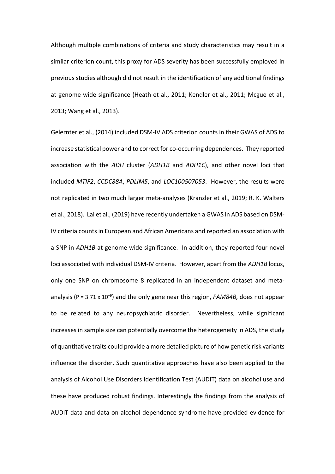Although multiple combinations of criteria and study characteristics may result in a similar criterion count, this proxy for ADS severity has been successfully employed in previous studies although did not result in the identification of any additional findings at genome wide significance (Heath et al., 2011; Kendler et al., 2011; Mcgue et al., 2013; Wang et al., 2013).

Gelernter et al., (2014) included DSM-IV ADS criterion counts in their GWAS of ADS to increase statistical power and to correct for co-occurring dependences. They reported association with the *ADH* cluster (*ADH1B* and *ADH1C*), and other novel loci that included *MTIF2*, *CCDC88A*, *PDLIM5*, and *LOC100507053*. However, the results were not replicated in two much larger meta-analyses (Kranzler et al., 2019; R. K. Walters et al., 2018). Lai et al., (2019) have recently undertaken a GWAS in ADS based on DSM-IV criteria counts in European and African Americans and reported an association with a SNP in *ADH1B* at genome wide significance. In addition, they reported four novel loci associated with individual DSM-IV criteria. However, apart from the *ADH1B* locus, only one SNP on chromosome 8 replicated in an independent dataset and metaanalysis (P = 3.71 x 10−9 ) and the only gene near this region, *FAM84B,* does not appear to be related to any neuropsychiatric disorder. Nevertheless, while significant increases in sample size can potentially overcome the heterogeneity in ADS, the study of quantitative traits could provide a more detailed picture of how genetic risk variants influence the disorder. Such quantitative approaches have also been applied to the analysis of Alcohol Use Disorders Identification Test (AUDIT) data on alcohol use and these have produced robust findings. Interestingly the findings from the analysis of AUDIT data and data on alcohol dependence syndrome have provided evidence for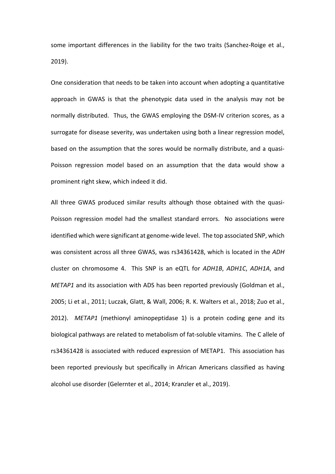some important differences in the liability for the two traits (Sanchez-Roige et al., 2019).

One consideration that needs to be taken into account when adopting a quantitative approach in GWAS is that the phenotypic data used in the analysis may not be normally distributed. Thus, the GWAS employing the DSM-IV criterion scores, as a surrogate for disease severity, was undertaken using both a linear regression model, based on the assumption that the sores would be normally distribute, and a quasi-Poisson regression model based on an assumption that the data would show a prominent right skew, which indeed it did.

All three GWAS produced similar results although those obtained with the quasi-Poisson regression model had the smallest standard errors. No associations were identified which were significant at genome-wide level. The top associated SNP, which was consistent across all three GWAS, was rs34361428, which is located in the *ADH* cluster on chromosome 4. This SNP is an eQTL for *ADH1B*, *ADH1C*, *ADH1A*, and *METAP1* and its association with ADS has been reported previously (Goldman et al., 2005; Li et al., 2011; Luczak, Glatt, & Wall, 2006; R. K. Walters et al., 2018; Zuo et al., 2012). *METAP1* (methionyl aminopeptidase 1) is a protein coding gene and its biological pathways are related to metabolism of fat-soluble vitamins. The C allele of rs34361428 is associated with reduced expression of METAP1. This association has been reported previously but specifically in African Americans classified as having alcohol use disorder (Gelernter et al., 2014; Kranzler et al., 2019).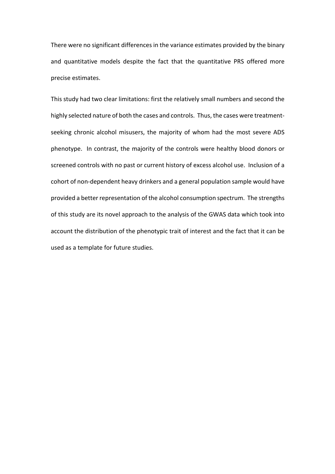There were no significant differences in the variance estimates provided by the binary and quantitative models despite the fact that the quantitative PRS offered more precise estimates.

This study had two clear limitations: first the relatively small numbers and second the highly selected nature of both the cases and controls. Thus, the cases were treatmentseeking chronic alcohol misusers, the majority of whom had the most severe ADS phenotype. In contrast, the majority of the controls were healthy blood donors or screened controls with no past or current history of excess alcohol use. Inclusion of a cohort of non-dependent heavy drinkers and a general population sample would have provided a better representation of the alcohol consumption spectrum. The strengths of this study are its novel approach to the analysis of the GWAS data which took into account the distribution of the phenotypic trait of interest and the fact that it can be used as a template for future studies.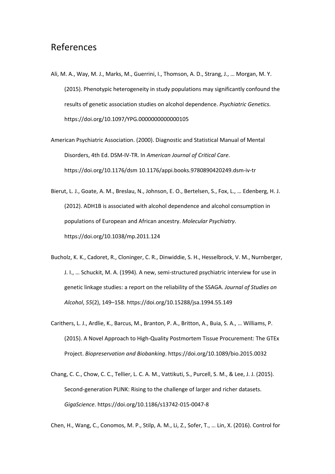## References

- Ali, M. A., Way, M. J., Marks, M., Guerrini, I., Thomson, A. D., Strang, J., … Morgan, M. Y. (2015). Phenotypic heterogeneity in study populations may significantly confound the results of genetic association studies on alcohol dependence. *Psychiatric Genetics*. https://doi.org/10.1097/YPG.0000000000000105
- American Psychiatric Association. (2000). Diagnostic and Statistical Manual of Mental Disorders, 4th Ed. DSM-IV-TR. In *American Journal of Critical Care*. https://doi.org/10.1176/dsm 10.1176/appi.books.9780890420249.dsm-iv-tr

Bierut, L. J., Goate, A. M., Breslau, N., Johnson, E. O., Bertelsen, S., Fox, L., … Edenberg, H. J. (2012). ADH1B is associated with alcohol dependence and alcohol consumption in populations of European and African ancestry. *Molecular Psychiatry*. https://doi.org/10.1038/mp.2011.124

- Bucholz, K. K., Cadoret, R., Cloninger, C. R., Dinwiddie, S. H., Hesselbrock, V. M., Nurnberger, J. I., … Schuckit, M. A. (1994). A new, semi-structured psychiatric interview for use in genetic linkage studies: a report on the reliability of the SSAGA. *Journal of Studies on Alcohol*, *55*(2), 149–158. https://doi.org/10.15288/jsa.1994.55.149
- Carithers, L. J., Ardlie, K., Barcus, M., Branton, P. A., Britton, A., Buia, S. A., … Williams, P. (2015). A Novel Approach to High-Quality Postmortem Tissue Procurement: The GTEx Project. *Biopreservation and Biobanking*. https://doi.org/10.1089/bio.2015.0032
- Chang, C. C., Chow, C. C., Tellier, L. C. A. M., Vattikuti, S., Purcell, S. M., & Lee, J. J. (2015). Second-generation PLINK: Rising to the challenge of larger and richer datasets. *GigaScience*. https://doi.org/10.1186/s13742-015-0047-8

Chen, H., Wang, C., Conomos, M. P., Stilp, A. M., Li, Z., Sofer, T., … Lin, X. (2016). Control for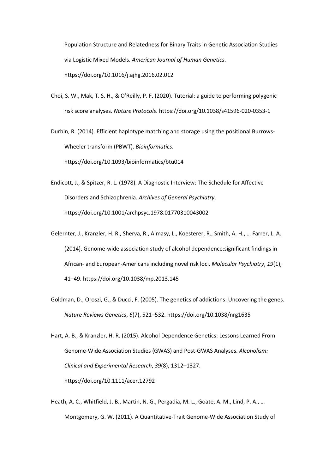Population Structure and Relatedness for Binary Traits in Genetic Association Studies via Logistic Mixed Models. *American Journal of Human Genetics*. https://doi.org/10.1016/j.ajhg.2016.02.012

Choi, S. W., Mak, T. S. H., & O'Reilly, P. F. (2020). Tutorial: a guide to performing polygenic risk score analyses. *Nature Protocols*. https://doi.org/10.1038/s41596-020-0353-1

Durbin, R. (2014). Efficient haplotype matching and storage using the positional Burrows-Wheeler transform (PBWT). *Bioinformatics*.

https://doi.org/10.1093/bioinformatics/btu014

- Endicott, J., & Spitzer, R. L. (1978). A Diagnostic Interview: The Schedule for Affective Disorders and Schizophrenia. *Archives of General Psychiatry*. https://doi.org/10.1001/archpsyc.1978.01770310043002
- Gelernter, J., Kranzler, H. R., Sherva, R., Almasy, L., Koesterer, R., Smith, A. H., … Farrer, L. A. (2014). Genome-wide association study of alcohol dependence:significant findings in African- and European-Americans including novel risk loci. *Molecular Psychiatry*, *19*(1), 41–49. https://doi.org/10.1038/mp.2013.145
- Goldman, D., Oroszi, G., & Ducci, F. (2005). The genetics of addictions: Uncovering the genes. *Nature Reviews Genetics*, *6*(7), 521–532. https://doi.org/10.1038/nrg1635

Hart, A. B., & Kranzler, H. R. (2015). Alcohol Dependence Genetics: Lessons Learned From Genome-Wide Association Studies (GWAS) and Post-GWAS Analyses. *Alcoholism: Clinical and Experimental Research*, *39*(8), 1312–1327. https://doi.org/10.1111/acer.12792

Heath, A. C., Whitfield, J. B., Martin, N. G., Pergadia, M. L., Goate, A. M., Lind, P. A., … Montgomery, G. W. (2011). A Quantitative-Trait Genome-Wide Association Study of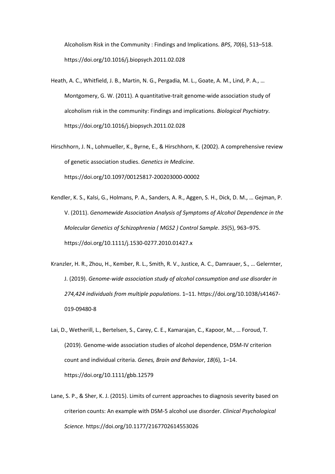Alcoholism Risk in the Community : Findings and Implications. *BPS*, *70*(6), 513–518. https://doi.org/10.1016/j.biopsych.2011.02.028

- Heath, A. C., Whitfield, J. B., Martin, N. G., Pergadia, M. L., Goate, A. M., Lind, P. A., … Montgomery, G. W. (2011). A quantitative-trait genome-wide association study of alcoholism risk in the community: Findings and implications. *Biological Psychiatry*. https://doi.org/10.1016/j.biopsych.2011.02.028
- Hirschhorn, J. N., Lohmueller, K., Byrne, E., & Hirschhorn, K. (2002). A comprehensive review of genetic association studies. *Genetics in Medicine*. https://doi.org/10.1097/00125817-200203000-00002
- Kendler, K. S., Kalsi, G., Holmans, P. A., Sanders, A. R., Aggen, S. H., Dick, D. M., … Gejman, P. V. (2011). *Genomewide Association Analysis of Symptoms of Alcohol Dependence in the Molecular Genetics of Schizophrenia ( MGS2 ) Control Sample*. *35*(5), 963–975. https://doi.org/10.1111/j.1530-0277.2010.01427.x
- Kranzler, H. R., Zhou, H., Kember, R. L., Smith, R. V., Justice, A. C., Damrauer, S., … Gelernter, J. (2019). *Genome-wide association study of alcohol consumption and use disorder in 274,424 individuals from multiple populations*. 1–11. https://doi.org/10.1038/s41467- 019-09480-8
- Lai, D., Wetherill, L., Bertelsen, S., Carey, C. E., Kamarajan, C., Kapoor, M., … Foroud, T. (2019). Genome-wide association studies of alcohol dependence, DSM-IV criterion count and individual criteria. *Genes, Brain and Behavior*, *18*(6), 1–14. https://doi.org/10.1111/gbb.12579
- Lane, S. P., & Sher, K. J. (2015). Limits of current approaches to diagnosis severity based on criterion counts: An example with DSM-5 alcohol use disorder. *Clinical Psychological Science*. https://doi.org/10.1177/2167702614553026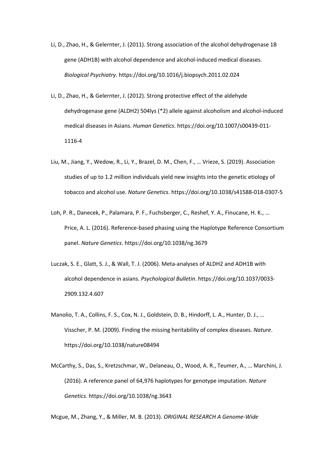- Li, D., Zhao, H., & Gelernter, J. (2011). Strong association of the alcohol dehydrogenase 1B gene (ADH1B) with alcohol dependence and alcohol-induced medical diseases. *Biological Psychiatry*. https://doi.org/10.1016/j.biopsych.2011.02.024
- Li, D., Zhao, H., & Gelernter, J. (2012). Strong protective effect of the aldehyde dehydrogenase gene (ALDH2) 504lys (\*2) allele against alcoholism and alcohol-induced medical diseases in Asians. *Human Genetics*. https://doi.org/10.1007/s00439-011- 1116-4
- Liu, M., Jiang, Y., Wedow, R., Li, Y., Brazel, D. M., Chen, F., … Vrieze, S. (2019). Association studies of up to 1.2 million individuals yield new insights into the genetic etiology of tobacco and alcohol use. *Nature Genetics*. https://doi.org/10.1038/s41588-018-0307-5
- Loh, P. R., Danecek, P., Palamara, P. F., Fuchsberger, C., Reshef, Y. A., Finucane, H. K., … Price, A. L. (2016). Reference-based phasing using the Haplotype Reference Consortium panel. *Nature Genetics*. https://doi.org/10.1038/ng.3679
- Luczak, S. E., Glatt, S. J., & Wall, T. J. (2006). Meta-analyses of ALDH2 and ADH1B with alcohol dependence in asians. *Psychological Bulletin*. https://doi.org/10.1037/0033- 2909.132.4.607
- Manolio, T. A., Collins, F. S., Cox, N. J., Goldstein, D. B., Hindorff, L. A., Hunter, D. J., … Visscher, P. M. (2009). Finding the missing heritability of complex diseases. *Nature*. https://doi.org/10.1038/nature08494
- McCarthy, S., Das, S., Kretzschmar, W., Delaneau, O., Wood, A. R., Teumer, A., … Marchini, J. (2016). A reference panel of 64,976 haplotypes for genotype imputation. *Nature Genetics*. https://doi.org/10.1038/ng.3643

Mcgue, M., Zhang, Y., & Miller, M. B. (2013). *ORIGINAL RESEARCH A Genome-Wide*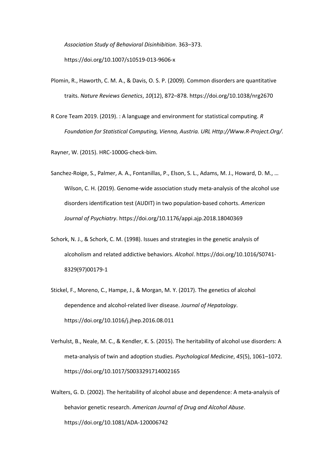*Association Study of Behavioral Disinhibition*. 363–373. https://doi.org/10.1007/s10519-013-9606-x

- Plomin, R., Haworth, C. M. A., & Davis, O. S. P. (2009). Common disorders are quantitative traits. *Nature Reviews Genetics*, *10*(12), 872–878. https://doi.org/10.1038/nrg2670
- R Core Team 2019. (2019). : A language and environment for statistical computing. *R Foundation for Statistical Computing, Vienna, Austria. URL Http://Www.R-Project.Org/.*

Rayner, W. (2015). HRC-1000G-check-bim.

- Sanchez-Roige, S., Palmer, A. A., Fontanillas, P., Elson, S. L., Adams, M. J., Howard, D. M., … Wilson, C. H. (2019). Genome-wide association study meta-analysis of the alcohol use disorders identification test (AUDIT) in two population-based cohorts. *American Journal of Psychiatry*. https://doi.org/10.1176/appi.ajp.2018.18040369
- Schork, N. J., & Schork, C. M. (1998). Issues and strategies in the genetic analysis of alcoholism and related addictive behaviors. *Alcohol*. https://doi.org/10.1016/S0741- 8329(97)00179-1
- Stickel, F., Moreno, C., Hampe, J., & Morgan, M. Y. (2017). The genetics of alcohol dependence and alcohol-related liver disease. *Journal of Hepatology*. https://doi.org/10.1016/j.jhep.2016.08.011
- Verhulst, B., Neale, M. C., & Kendler, K. S. (2015). The heritability of alcohol use disorders: A meta-analysis of twin and adoption studies. *Psychological Medicine*, *45*(5), 1061–1072. https://doi.org/10.1017/S0033291714002165
- Walters, G. D. (2002). The heritability of alcohol abuse and dependence: A meta-analysis of behavior genetic research. *American Journal of Drug and Alcohol Abuse*. https://doi.org/10.1081/ADA-120006742